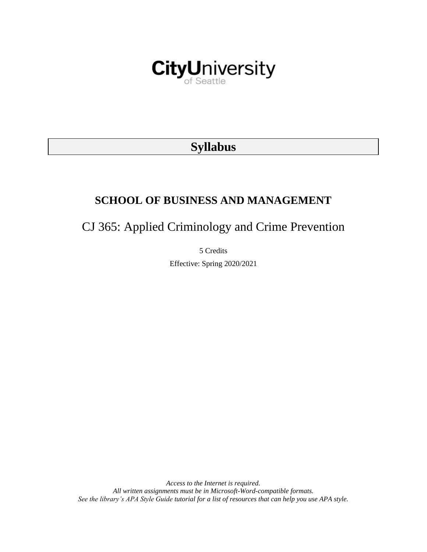

# **Syllabus**

# **SCHOOL OF BUSINESS AND MANAGEMENT**

CJ 365: Applied Criminology and Crime Prevention

5 Credits Effective: Spring 2020/2021

*Access to the Internet is required. All written assignments must be in Microsoft-Word-compatible formats. See the library's APA Style Guide tutorial for a list of resources that can help you use APA style.*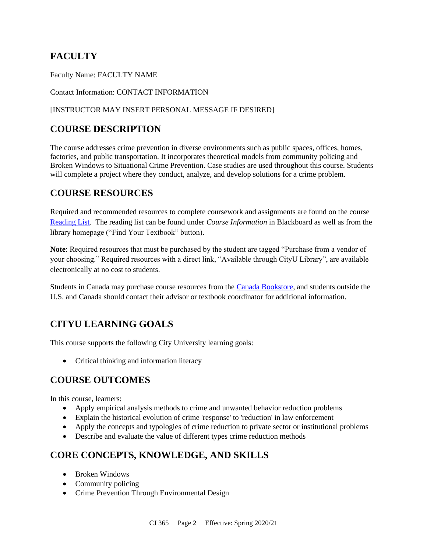# **FACULTY**

Faculty Name: FACULTY NAME

Contact Information: CONTACT INFORMATION

### [INSTRUCTOR MAY INSERT PERSONAL MESSAGE IF DESIRED]

# **COURSE DESCRIPTION**

The course addresses crime prevention in diverse environments such as public spaces, offices, homes, factories, and public transportation. It incorporates theoretical models from community policing and Broken Windows to Situational Crime Prevention. Case studies are used throughout this course. Students will complete a project where they conduct, analyze, and develop solutions for a crime problem.

# **COURSE RESOURCES**

Required and recommended resources to complete coursework and assignments are found on the course [Reading List.](https://cityu.alma.exlibrisgroup.com/leganto/login?auth=SAML) The reading list can be found under *Course Information* in Blackboard as well as from the library homepage ("Find Your Textbook" button).

**Note**: Required resources that must be purchased by the student are tagged "Purchase from a vendor of your choosing." Required resources with a direct link, "Available through CityU Library", are available electronically at no cost to students.

Students in Canada may purchase course resources from the [Canada Bookstore,](https://www.cityubookstore.ca/index.asp) and students outside the U.S. and Canada should contact their advisor or textbook coordinator for additional information.

# **CITYU LEARNING GOALS**

This course supports the following City University learning goals:

• Critical thinking and information literacy

# **COURSE OUTCOMES**

In this course, learners:

- Apply empirical analysis methods to crime and unwanted behavior reduction problems
- Explain the historical evolution of crime 'response' to 'reduction' in law enforcement
- Apply the concepts and typologies of crime reduction to private sector or institutional problems
- Describe and evaluate the value of different types crime reduction methods

# **CORE CONCEPTS, KNOWLEDGE, AND SKILLS**

- Broken Windows
- Community policing
- Crime Prevention Through Environmental Design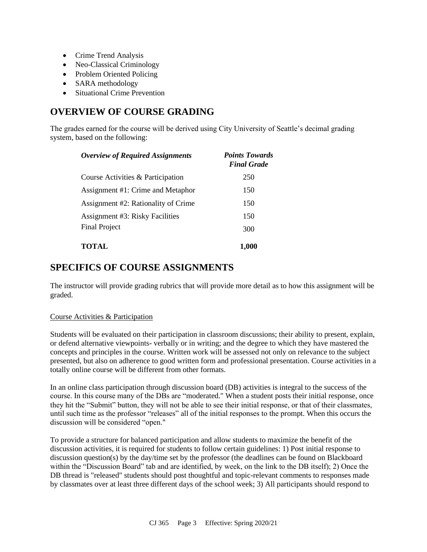- Crime Trend Analysis
- Neo-Classical Criminology
- Problem Oriented Policing
- SARA methodology
- Situational Crime Prevention

### **OVERVIEW OF COURSE GRADING**

The grades earned for the course will be derived using City University of Seattle's decimal grading system, based on the following:

| <b>Overview of Required Assignments</b> | <b>Points Towards</b><br><b>Final Grade</b> |
|-----------------------------------------|---------------------------------------------|
| Course Activities & Participation       | 250                                         |
| Assignment #1: Crime and Metaphor       | 150                                         |
| Assignment #2: Rationality of Crime     | 150                                         |
| <b>Assignment #3: Risky Facilities</b>  | 150                                         |
| <b>Final Project</b>                    | 300                                         |
| <b>TOTAL</b>                            | 1,000                                       |

# **SPECIFICS OF COURSE ASSIGNMENTS**

The instructor will provide grading rubrics that will provide more detail as to how this assignment will be graded.

#### Course Activities & Participation

Students will be evaluated on their participation in classroom discussions; their ability to present, explain, or defend alternative viewpoints- verbally or in writing; and the degree to which they have mastered the concepts and principles in the course. Written work will be assessed not only on relevance to the subject presented, but also on adherence to good written form and professional presentation. Course activities in a totally online course will be different from other formats.

In an online class participation through discussion board (DB) activities is integral to the success of the course. In this course many of the DBs are "moderated." When a student posts their initial response, once they hit the "Submit" button, they will not be able to see their initial response, or that of their classmates, until such time as the professor "releases" all of the initial responses to the prompt. When this occurs the discussion will be considered "open."

To provide a structure for balanced participation and allow students to maximize the benefit of the discussion activities, it is required for students to follow certain guidelines: 1) Post initial response to discussion question(s) by the day/time set by the professor (the deadlines can be found on Blackboard within the "Discussion Board" tab and are identified, by week, on the link to the DB itself); 2) Once the DB thread is "released" students should post thoughtful and topic-relevant comments to responses made by classmates over at least three different days of the school week; 3) All participants should respond to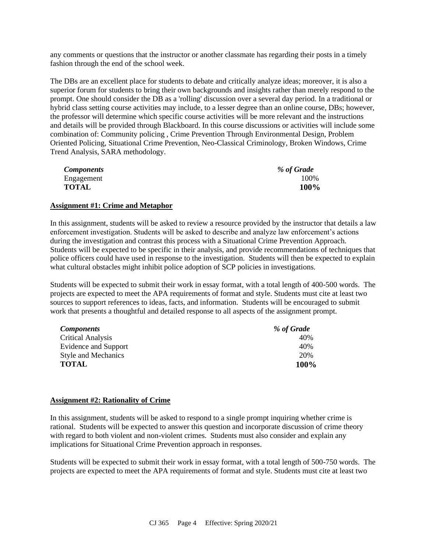any comments or questions that the instructor or another classmate has regarding their posts in a timely fashion through the end of the school week.

The DBs are an excellent place for students to debate and critically analyze ideas; moreover, it is also a superior forum for students to bring their own backgrounds and insights rather than merely respond to the prompt. One should consider the DB as a 'rolling' discussion over a several day period. In a traditional or hybrid class setting course activities may include, to a lesser degree than an online course, DBs; however, the professor will determine which specific course activities will be more relevant and the instructions and details will be provided through Blackboard. In this course discussions or activities will include some combination of: Community policing , Crime Prevention Through Environmental Design, Problem Oriented Policing, Situational Crime Prevention, Neo-Classical Criminology, Broken Windows, Crime Trend Analysis, SARA methodology.

| <i>Components</i> | % of Grade |
|-------------------|------------|
| Engagement        | 100%       |
| <b>TOTAL</b>      | 100%       |

#### **Assignment #1: Crime and Metaphor**

In this assignment, students will be asked to review a resource provided by the instructor that details a law enforcement investigation. Students will be asked to describe and analyze law enforcement's actions during the investigation and contrast this process with a Situational Crime Prevention Approach. Students will be expected to be specific in their analysis, and provide recommendations of techniques that police officers could have used in response to the investigation. Students will then be expected to explain what cultural obstacles might inhibit police adoption of SCP policies in investigations.

Students will be expected to submit their work in essay format, with a total length of 400-500 words. The projects are expected to meet the APA requirements of format and style. Students must cite at least two sources to support references to ideas, facts, and information. Students will be encouraged to submit work that presents a thoughtful and detailed response to all aspects of the assignment prompt.

| <b>Components</b>          | % of Grade  |
|----------------------------|-------------|
| <b>Critical Analysis</b>   | 40%         |
| Evidence and Support       | 40%         |
| <b>Style and Mechanics</b> | 20%         |
| <b>TOTAL</b>               | <b>100%</b> |

#### **Assignment #2: Rationality of Crime**

In this assignment, students will be asked to respond to a single prompt inquiring whether crime is rational. Students will be expected to answer this question and incorporate discussion of crime theory with regard to both violent and non-violent crimes. Students must also consider and explain any implications for Situational Crime Prevention approach in responses.

Students will be expected to submit their work in essay format, with a total length of 500-750 words. The projects are expected to meet the APA requirements of format and style. Students must cite at least two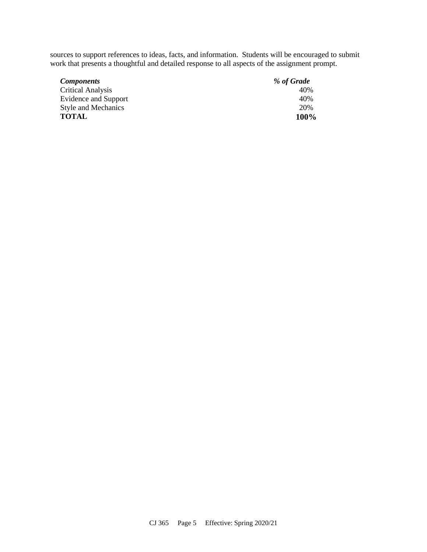sources to support references to ideas, facts, and information. Students will be encouraged to submit work that presents a thoughtful and detailed response to all aspects of the assignment prompt.

| <i>Components</i>          | % of Grade |
|----------------------------|------------|
| <b>Critical Analysis</b>   | 40%        |
| Evidence and Support       | 40%        |
| <b>Style and Mechanics</b> | 20%        |
| <b>TOTAL</b>               | 100%       |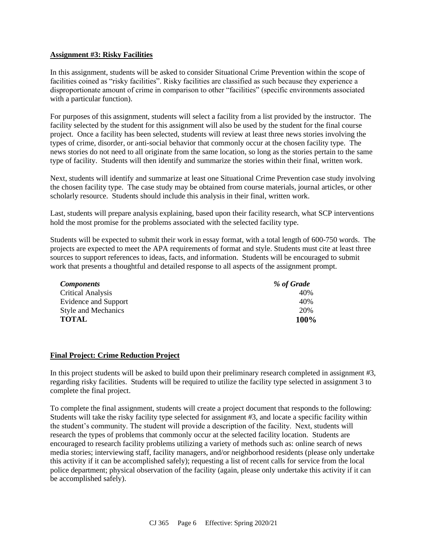#### **Assignment #3: Risky Facilities**

In this assignment, students will be asked to consider Situational Crime Prevention within the scope of facilities coined as "risky facilities". Risky facilities are classified as such because they experience a disproportionate amount of crime in comparison to other "facilities" (specific environments associated with a particular function).

For purposes of this assignment, students will select a facility from a list provided by the instructor. The facility selected by the student for this assignment will also be used by the student for the final course project. Once a facility has been selected, students will review at least three news stories involving the types of crime, disorder, or anti-social behavior that commonly occur at the chosen facility type. The news stories do not need to all originate from the same location, so long as the stories pertain to the same type of facility. Students will then identify and summarize the stories within their final, written work.

Next, students will identify and summarize at least one Situational Crime Prevention case study involving the chosen facility type. The case study may be obtained from course materials, journal articles, or other scholarly resource. Students should include this analysis in their final, written work.

Last, students will prepare analysis explaining, based upon their facility research, what SCP interventions hold the most promise for the problems associated with the selected facility type.

Students will be expected to submit their work in essay format, with a total length of 600-750 words. The projects are expected to meet the APA requirements of format and style. Students must cite at least three sources to support references to ideas, facts, and information. Students will be encouraged to submit work that presents a thoughtful and detailed response to all aspects of the assignment prompt.

| <b>Components</b>          | % of Grade |
|----------------------------|------------|
| Critical Analysis          | 40%        |
| Evidence and Support       | 40%        |
| <b>Style and Mechanics</b> | 20%        |
| TOTAL                      | 100%       |

#### **Final Project: Crime Reduction Project**

In this project students will be asked to build upon their preliminary research completed in assignment #3, regarding risky facilities. Students will be required to utilize the facility type selected in assignment 3 to complete the final project.

To complete the final assignment, students will create a project document that responds to the following: Students will take the risky facility type selected for assignment #3, and locate a specific facility within the student's community. The student will provide a description of the facility. Next, students will research the types of problems that commonly occur at the selected facility location. Students are encouraged to research facility problems utilizing a variety of methods such as: online search of news media stories; interviewing staff, facility managers, and/or neighborhood residents (please only undertake this activity if it can be accomplished safely); requesting a list of recent calls for service from the local police department; physical observation of the facility (again, please only undertake this activity if it can be accomplished safely).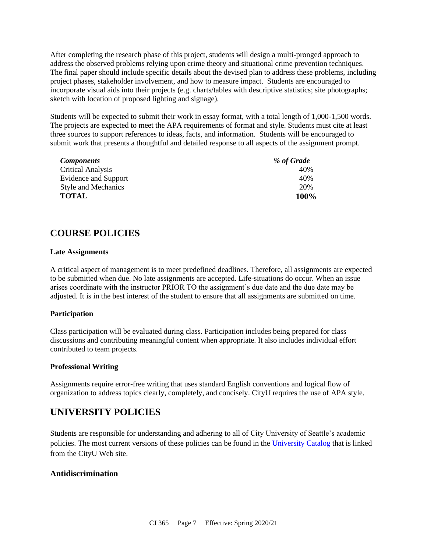After completing the research phase of this project, students will design a multi-pronged approach to address the observed problems relying upon crime theory and situational crime prevention techniques. The final paper should include specific details about the devised plan to address these problems, including project phases, stakeholder involvement, and how to measure impact. Students are encouraged to incorporate visual aids into their projects (e.g. charts/tables with descriptive statistics; site photographs; sketch with location of proposed lighting and signage).

Students will be expected to submit their work in essay format, with a total length of 1,000-1,500 words. The projects are expected to meet the APA requirements of format and style. Students must cite at least three sources to support references to ideas, facts, and information. Students will be encouraged to submit work that presents a thoughtful and detailed response to all aspects of the assignment prompt.

| <b>Components</b>          | % of Grade  |
|----------------------------|-------------|
| <b>Critical Analysis</b>   | 40%         |
| Evidence and Support       | 40%         |
| <b>Style and Mechanics</b> | 20%         |
| <b>TOTAL</b>               | <b>100%</b> |

# **COURSE POLICIES**

#### **Late Assignments**

A critical aspect of management is to meet predefined deadlines. Therefore, all assignments are expected to be submitted when due. No late assignments are accepted. Life-situations do occur. When an issue arises coordinate with the instructor PRIOR TO the assignment's due date and the due date may be adjusted. It is in the best interest of the student to ensure that all assignments are submitted on time.

#### **Participation**

Class participation will be evaluated during class. Participation includes being prepared for class discussions and contributing meaningful content when appropriate. It also includes individual effort contributed to team projects.

#### **Professional Writing**

Assignments require error-free writing that uses standard English conventions and logical flow of organization to address topics clearly, completely, and concisely. CityU requires the use of APA style.

# **UNIVERSITY POLICIES**

Students are responsible for understanding and adhering to all of City University of Seattle's academic policies. The most current versions of these policies can be found in the [University Catalog](http://www.cityu.edu/catalog/) that is linked from the CityU Web site.

#### **Antidiscrimination**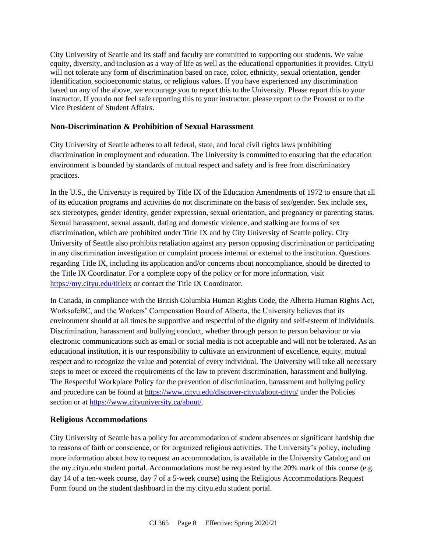City University of Seattle and its staff and faculty are committed to supporting our students. We value equity, diversity, and inclusion as a way of life as well as the educational opportunities it provides. CityU will not tolerate any form of discrimination based on race, color, ethnicity, sexual orientation, gender identification, socioeconomic status, or religious values. If you have experienced any discrimination based on any of the above, we encourage you to report this to the University. Please report this to your instructor. If you do not feel safe reporting this to your instructor, please report to the Provost or to the Vice President of Student Affairs.

### **Non-Discrimination & Prohibition of Sexual Harassment**

City University of Seattle adheres to all federal, state, and local civil rights laws prohibiting discrimination in employment and education. The University is committed to ensuring that the education environment is bounded by standards of mutual respect and safety and is free from discriminatory practices.

In the U.S., the University is required by Title IX of the Education Amendments of 1972 to ensure that all of its education programs and activities do not discriminate on the basis of sex/gender. Sex include sex, sex stereotypes, gender identity, gender expression, sexual orientation, and pregnancy or parenting status. Sexual harassment, sexual assault, dating and domestic violence, and stalking are forms of sex discrimination, which are prohibited under Title IX and by City University of Seattle policy. City University of Seattle also prohibits retaliation against any person opposing discrimination or participating in any discrimination investigation or complaint process internal or external to the institution. Questions regarding Title IX, including its application and/or concerns about noncompliance, should be directed to the Title IX Coordinator. For a complete copy of the policy or for more information, visit <https://my.cityu.edu/titleix> or contact the Title IX Coordinator.

In Canada, in compliance with the British Columbia Human Rights Code, the Alberta Human Rights Act, WorksafeBC, and the Workers' Compensation Board of Alberta, the University believes that its environment should at all times be supportive and respectful of the dignity and self-esteem of individuals. Discrimination, harassment and bullying conduct, whether through person to person behaviour or via electronic communications such as email or social media is not acceptable and will not be tolerated. As an educational institution, it is our responsibility to cultivate an environment of excellence, equity, mutual respect and to recognize the value and potential of every individual. The University will take all necessary steps to meet or exceed the requirements of the law to prevent discrimination, harassment and bullying. The Respectful Workplace Policy for the prevention of discrimination, harassment and bullying policy and procedure can be found at <https://www.cityu.edu/discover-cityu/about-cityu/> under the Policies section or at [https://www.cityuniversity.ca/about/.](https://www.cityuniversity.ca/about/)

### **Religious Accommodations**

City University of Seattle has a policy for accommodation of student absences or significant hardship due to reasons of faith or conscience, or for organized religious activities. The University's policy, including more information about how to request an accommodation, is available in the University Catalog and on the my.cityu.edu student portal. Accommodations must be requested by the 20% mark of this course (e.g. day 14 of a ten-week course, day 7 of a 5-week course) using the Religious Accommodations Request Form found on the student dashboard in the my.cityu.edu student portal.